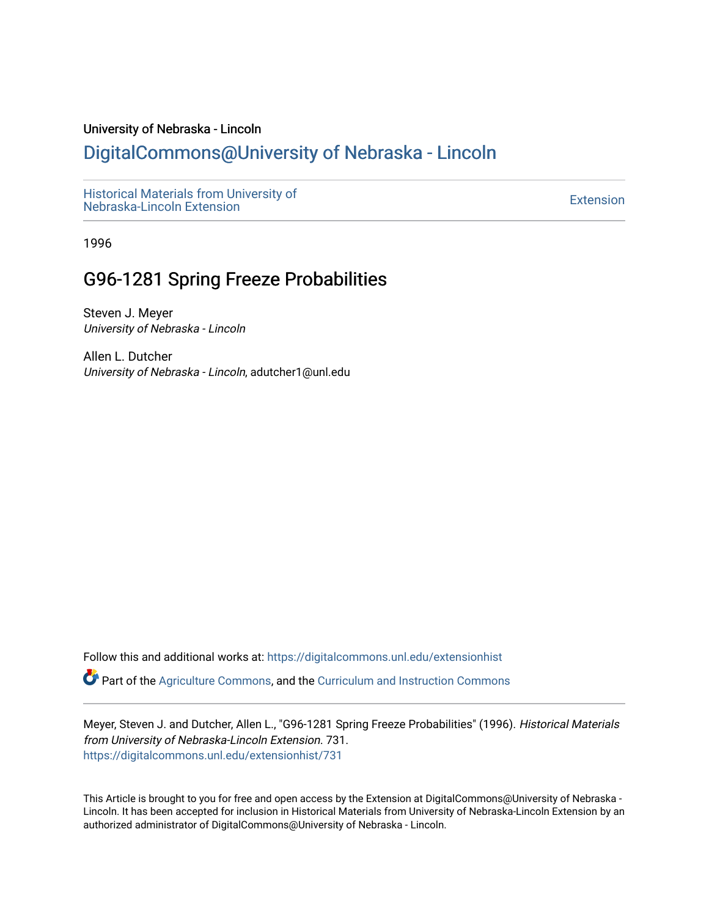#### University of Nebraska - Lincoln

### [DigitalCommons@University of Nebraska - Lincoln](https://digitalcommons.unl.edu/)

[Historical Materials from University of](https://digitalcommons.unl.edu/extensionhist)  nistorical Materials from Oniversity of the control of the control of the [Extension](https://digitalcommons.unl.edu/coop_extension) Extension extension of the<br>Nebraska-Lincoln Extension

1996

## G96-1281 Spring Freeze Probabilities

Steven J. Meyer University of Nebraska - Lincoln

Allen L. Dutcher University of Nebraska - Lincoln, adutcher1@unl.edu

Follow this and additional works at: [https://digitalcommons.unl.edu/extensionhist](https://digitalcommons.unl.edu/extensionhist?utm_source=digitalcommons.unl.edu%2Fextensionhist%2F731&utm_medium=PDF&utm_campaign=PDFCoverPages) 

Part of the [Agriculture Commons](http://network.bepress.com/hgg/discipline/1076?utm_source=digitalcommons.unl.edu%2Fextensionhist%2F731&utm_medium=PDF&utm_campaign=PDFCoverPages), and the [Curriculum and Instruction Commons](http://network.bepress.com/hgg/discipline/786?utm_source=digitalcommons.unl.edu%2Fextensionhist%2F731&utm_medium=PDF&utm_campaign=PDFCoverPages) 

Meyer, Steven J. and Dutcher, Allen L., "G96-1281 Spring Freeze Probabilities" (1996). Historical Materials from University of Nebraska-Lincoln Extension. 731. [https://digitalcommons.unl.edu/extensionhist/731](https://digitalcommons.unl.edu/extensionhist/731?utm_source=digitalcommons.unl.edu%2Fextensionhist%2F731&utm_medium=PDF&utm_campaign=PDFCoverPages) 

This Article is brought to you for free and open access by the Extension at DigitalCommons@University of Nebraska - Lincoln. It has been accepted for inclusion in Historical Materials from University of Nebraska-Lincoln Extension by an authorized administrator of DigitalCommons@University of Nebraska - Lincoln.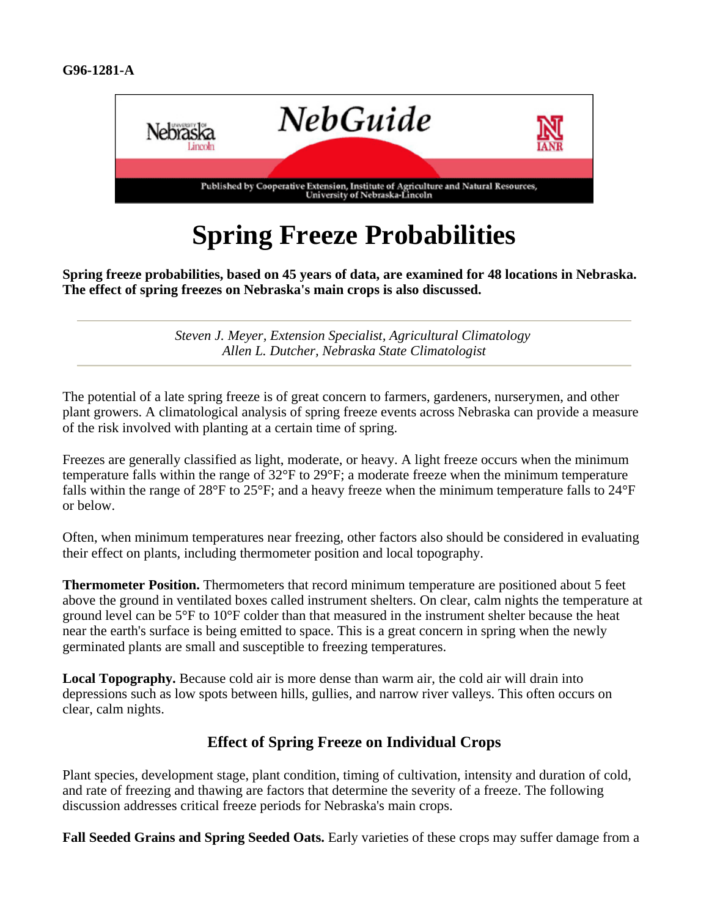

# **Spring Freeze Probabilities**

**Spring freeze probabilities, based on 45 years of data, are examined for 48 locations in Nebraska. The effect of spring freezes on Nebraska's main crops is also discussed.**

> *Steven J. Meyer, Extension Specialist, Agricultural Climatology Allen L. Dutcher, Nebraska State Climatologist*

The potential of a late spring freeze is of great concern to farmers, gardeners, nurserymen, and other plant growers. A climatological analysis of spring freeze events across Nebraska can provide a measure of the risk involved with planting at a certain time of spring.

Freezes are generally classified as light, moderate, or heavy. A light freeze occurs when the minimum temperature falls within the range of 32°F to 29°F; a moderate freeze when the minimum temperature falls within the range of 28°F to 25°F; and a heavy freeze when the minimum temperature falls to 24°F or below.

Often, when minimum temperatures near freezing, other factors also should be considered in evaluating their effect on plants, including thermometer position and local topography.

**Thermometer Position.** Thermometers that record minimum temperature are positioned about 5 feet above the ground in ventilated boxes called instrument shelters. On clear, calm nights the temperature at ground level can be 5°F to 10°F colder than that measured in the instrument shelter because the heat near the earth's surface is being emitted to space. This is a great concern in spring when the newly germinated plants are small and susceptible to freezing temperatures.

**Local Topography.** Because cold air is more dense than warm air, the cold air will drain into depressions such as low spots between hills, gullies, and narrow river valleys. This often occurs on clear, calm nights.

#### **Effect of Spring Freeze on Individual Crops**

Plant species, development stage, plant condition, timing of cultivation, intensity and duration of cold, and rate of freezing and thawing are factors that determine the severity of a freeze. The following discussion addresses critical freeze periods for Nebraska's main crops.

**Fall Seeded Grains and Spring Seeded Oats.** Early varieties of these crops may suffer damage from a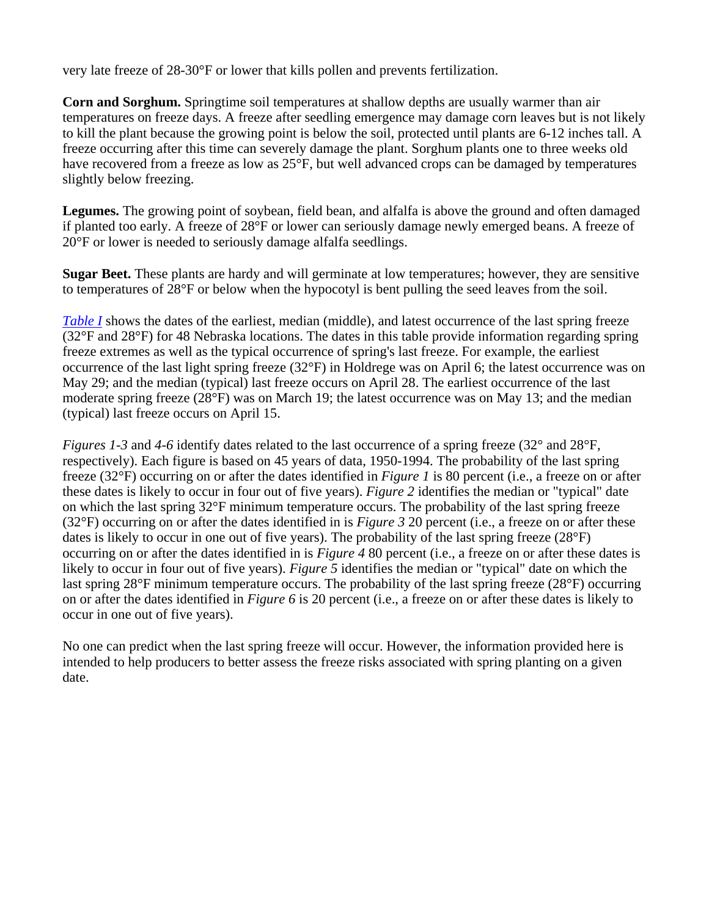very late freeze of 28-30°F or lower that kills pollen and prevents fertilization.

**Corn and Sorghum.** Springtime soil temperatures at shallow depths are usually warmer than air temperatures on freeze days. A freeze after seedling emergence may damage corn leaves but is not likely to kill the plant because the growing point is below the soil, protected until plants are 6-12 inches tall. A freeze occurring after this time can severely damage the plant. Sorghum plants one to three weeks old have recovered from a freeze as low as 25°F, but well advanced crops can be damaged by temperatures slightly below freezing.

**Legumes.** The growing point of soybean, field bean, and alfalfa is above the ground and often damaged if planted too early. A freeze of 28°F or lower can seriously damage newly emerged beans. A freeze of 20°F or lower is needed to seriously damage alfalfa seedlings.

**Sugar Beet.** These plants are hardy and will germinate at low temperatures; however, they are sensitive to temperatures of 28°F or below when the hypocotyl is bent pulling the seed leaves from the soil.

*Table I* shows the dates of the earliest, median (middle), and latest occurrence of the last spring freeze (32°F and 28°F) for 48 Nebraska locations. The dates in this table provide information regarding spring freeze extremes as well as the typical occurrence of spring's last freeze. For example, the earliest occurrence of the last light spring freeze (32°F) in Holdrege was on April 6; the latest occurrence was on May 29; and the median (typical) last freeze occurs on April 28. The earliest occurrence of the last moderate spring freeze (28°F) was on March 19; the latest occurrence was on May 13; and the median (typical) last freeze occurs on April 15.

*Figures 1-3* and 4-6 identify dates related to the last occurrence of a spring freeze (32° and 28°F, respectively). Each figure is based on 45 years of data, 1950-1994. The probability of the last spring freeze (32°F) occurring on or after the dates identified in *Figure 1* is 80 percent (i.e., a freeze on or after these dates is likely to occur in four out of five years). *Figure 2* identifies the median or "typical" date on which the last spring 32°F minimum temperature occurs. The probability of the last spring freeze (32°F) occurring on or after the dates identified in is *Figure 3* 20 percent (i.e., a freeze on or after these dates is likely to occur in one out of five years). The probability of the last spring freeze (28°F) occurring on or after the dates identified in is *Figure 4* 80 percent (i.e., a freeze on or after these dates is likely to occur in four out of five years). *Figure 5* identifies the median or "typical" date on which the last spring 28°F minimum temperature occurs. The probability of the last spring freeze (28°F) occurring on or after the dates identified in *Figure 6* is 20 percent (i.e., a freeze on or after these dates is likely to occur in one out of five years).

No one can predict when the last spring freeze will occur. However, the information provided here is intended to help producers to better assess the freeze risks associated with spring planting on a given date.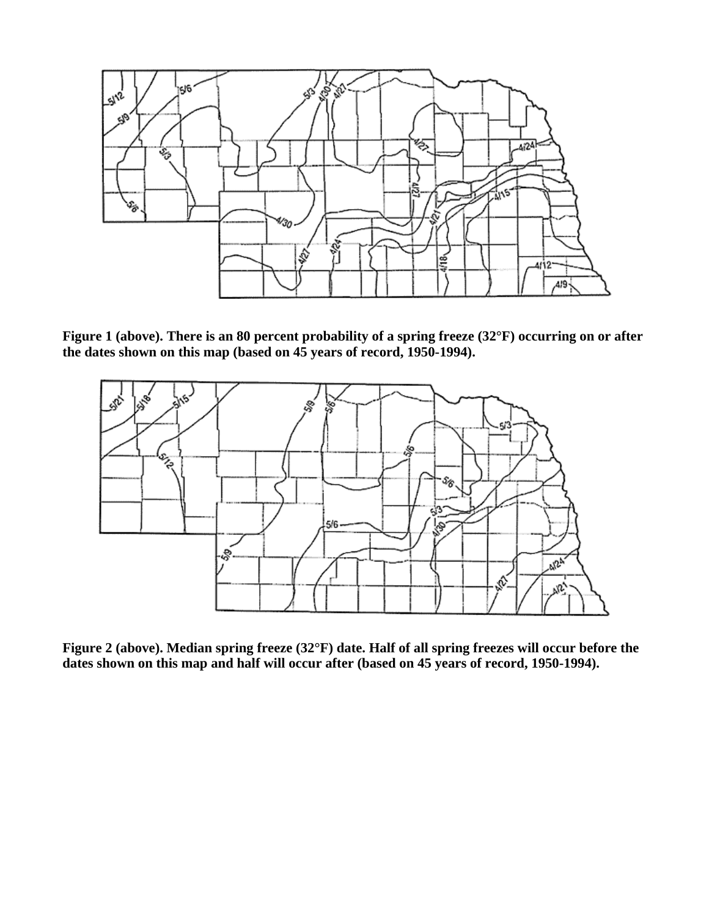

**Figure 1 (above). There is an 80 percent probability of a spring freeze (32°F) occurring on or after the dates shown on this map (based on 45 years of record, 1950-1994).**



**Figure 2 (above). Median spring freeze (32°F) date. Half of all spring freezes will occur before the dates shown on this map and half will occur after (based on 45 years of record, 1950-1994).**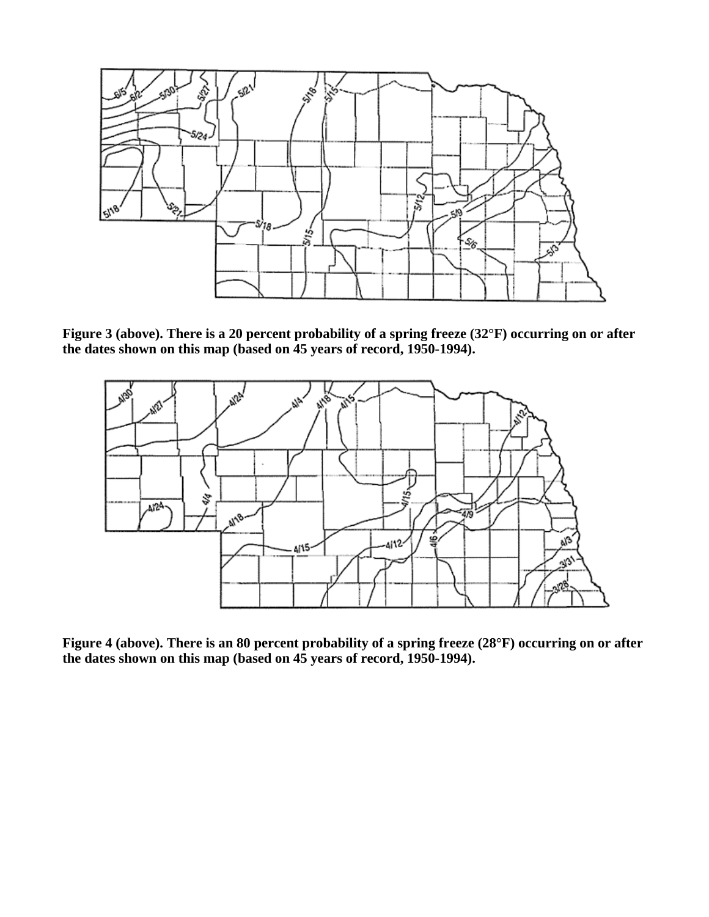

**Figure 3 (above). There is a 20 percent probability of a spring freeze (32°F) occurring on or after the dates shown on this map (based on 45 years of record, 1950-1994).**



**Figure 4 (above). There is an 80 percent probability of a spring freeze (28°F) occurring on or after the dates shown on this map (based on 45 years of record, 1950-1994).**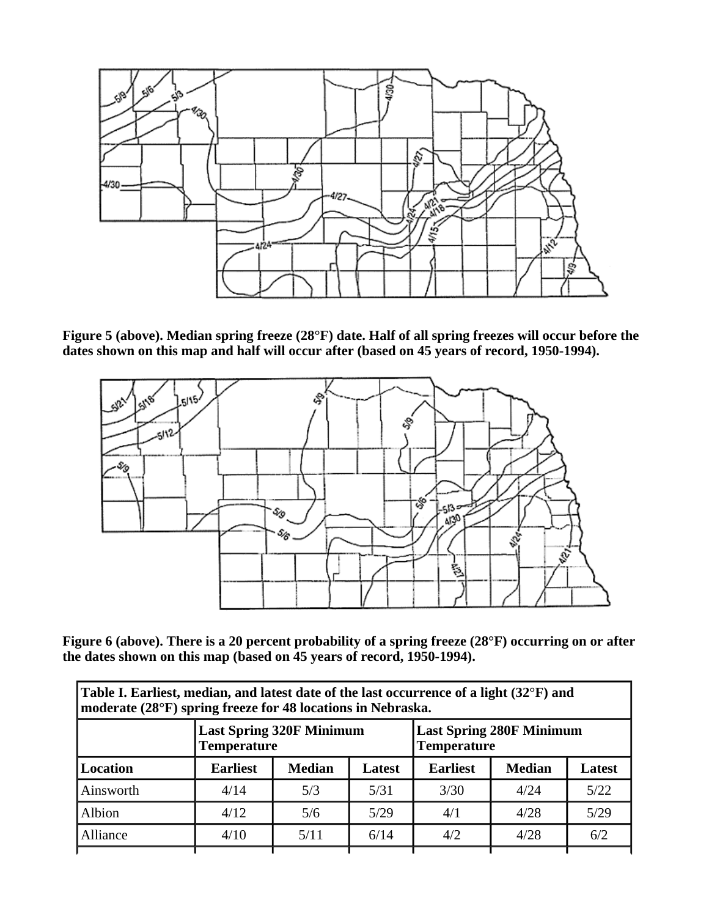

**Figure 5 (above). Median spring freeze (28°F) date. Half of all spring freezes will occur before the dates shown on this map and half will occur after (based on 45 years of record, 1950-1994).**



**Figure 6 (above). There is a 20 percent probability of a spring freeze (28°F) occurring on or after the dates shown on this map (based on 45 years of record, 1950-1994).**

| Table I. Earliest, median, and latest date of the last occurrence of a light (32°F) and<br>moderate (28°F) spring freeze for 48 locations in Nebraska. |               |        |                                                       |               |               |  |  |  |
|--------------------------------------------------------------------------------------------------------------------------------------------------------|---------------|--------|-------------------------------------------------------|---------------|---------------|--|--|--|
| <b>Last Spring 320F Minimum</b><br><b>Temperature</b>                                                                                                  |               |        | <b>Last Spring 280F Minimum</b><br><b>Temperature</b> |               |               |  |  |  |
| <b>Earliest</b>                                                                                                                                        | <b>Median</b> | Latest | <b>Earliest</b>                                       | <b>Median</b> | <b>Latest</b> |  |  |  |
| 4/14                                                                                                                                                   | 5/3           | 5/31   | 3/30                                                  | 4/24          | 5/22          |  |  |  |
| 4/12                                                                                                                                                   | 5/6           | 5/29   | 4/1                                                   | 4/28          | 5/29          |  |  |  |
| 4/10                                                                                                                                                   | 5/11          | 6/14   | 4/2                                                   | 4/28          | 6/2           |  |  |  |
|                                                                                                                                                        |               |        |                                                       |               |               |  |  |  |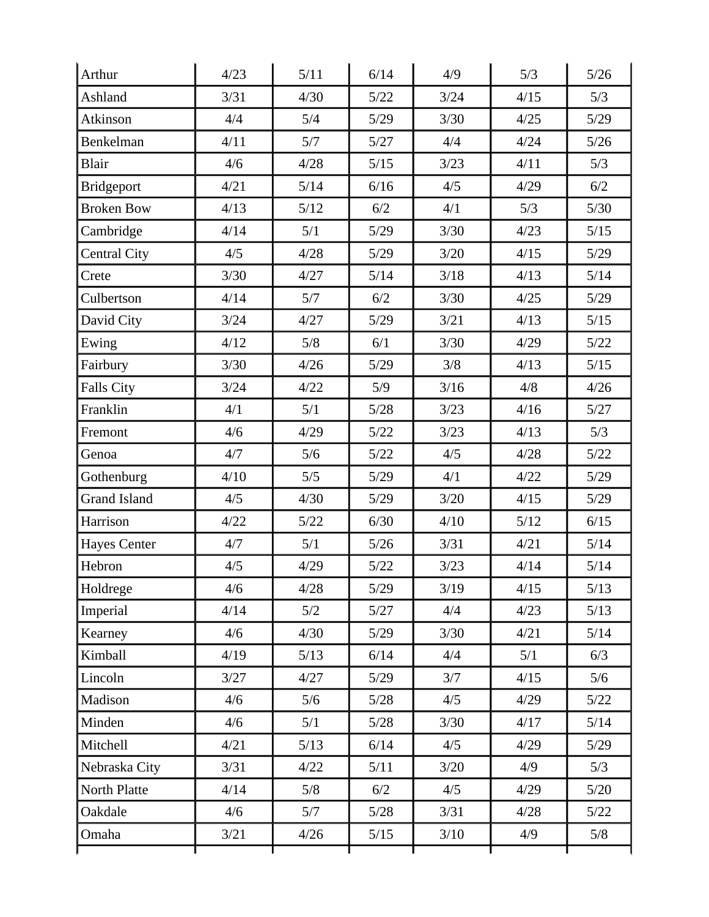| Arthur              | 4/23 | 5/11   | 6/14   | 4/9    | 5/3    | $5/26$ |
|---------------------|------|--------|--------|--------|--------|--------|
| Ashland             | 3/31 | 4/30   | $5/22$ | 3/24   | 4/15   | 5/3    |
| Atkinson            | 4/4  | 5/4    | 5/29   | 3/30   | 4/25   | 5/29   |
| Benkelman           | 4/11 | 5/7    | 5/27   | 4/4    | 4/24   | 5/26   |
| Blair               | 4/6  | 4/28   | $5/15$ | 3/23   | 4/11   | 5/3    |
| <b>Bridgeport</b>   | 4/21 | 5/14   | 6/16   | 4/5    | 4/29   | 6/2    |
| <b>Broken Bow</b>   | 4/13 | 5/12   | 6/2    | 4/1    | 5/3    | $5/30$ |
| Cambridge           | 4/14 | 5/1    | 5/29   | 3/30   | 4/23   | 5/15   |
| <b>Central City</b> | 4/5  | 4/28   | $5/29$ | $3/20$ | 4/15   | $5/29$ |
| Crete               | 3/30 | 4/27   | 5/14   | 3/18   | 4/13   | 5/14   |
| Culbertson          | 4/14 | 5/7    | 6/2    | 3/30   | 4/25   | 5/29   |
| David City          | 3/24 | 4/27   | $5/29$ | 3/21   | 4/13   | $5/15$ |
| Ewing               | 4/12 | 5/8    | 6/1    | 3/30   | 4/29   | 5/22   |
| Fairbury            | 3/30 | 4/26   | 5/29   | 3/8    | 4/13   | $5/15$ |
| <b>Falls City</b>   | 3/24 | 4/22   | 5/9    | 3/16   | 4/8    | 4/26   |
| Franklin            | 4/1  | 5/1    | $5/28$ | 3/23   | 4/16   | 5/27   |
| Fremont             | 4/6  | 4/29   | 5/22   | 3/23   | 4/13   | 5/3    |
| Genoa               | 4/7  | 5/6    | $5/22$ | 4/5    | 4/28   | 5/22   |
| Gothenburg          | 4/10 | 5/5    | 5/29   | 4/1    | 4/22   | 5/29   |
| <b>Grand Island</b> | 4/5  | 4/30   | $5/29$ | $3/20$ | 4/15   | 5/29   |
| Harrison            | 4/22 | $5/22$ | 6/30   | 4/10   | $5/12$ | 6/15   |
| <b>Hayes Center</b> | 4/7  | 5/1    | 5/26   | 3/31   | 4/21   | 5/14   |
| Hebron              | 4/5  | 4/29   | $5/22$ | 3/23   | 4/14   | 5/14   |
| Holdrege            | 4/6  | 4/28   | 5/29   | 3/19   | 4/15   | 5/13   |
| Imperial            | 4/14 | 5/2    | 5/27   | 4/4    | 4/23   | $5/13$ |
| Kearney             | 4/6  | 4/30   | 5/29   | 3/30   | 4/21   | 5/14   |
| Kimball             | 4/19 | 5/13   | 6/14   | 4/4    | 5/1    | 6/3    |
| Lincoln             | 3/27 | 4/27   | $5/29$ | 3/7    | 4/15   | 5/6    |
| Madison             | 4/6  | 5/6    | 5/28   | 4/5    | 4/29   | 5/22   |
| Minden              | 4/6  | 5/1    | $5/28$ | 3/30   | 4/17   | 5/14   |
| Mitchell            | 4/21 | $5/13$ | 6/14   | 4/5    | 4/29   | 5/29   |
| Nebraska City       | 3/31 | 4/22   | 5/11   | $3/20$ | 4/9    | 5/3    |
| North Platte        | 4/14 | 5/8    | 6/2    | 4/5    | 4/29   | 5/20   |
| Oakdale             | 4/6  | 5/7    | 5/28   | 3/31   | 4/28   | 5/22   |
| Omaha               | 3/21 | 4/26   | $5/15$ | 3/10   | 4/9    | 5/8    |